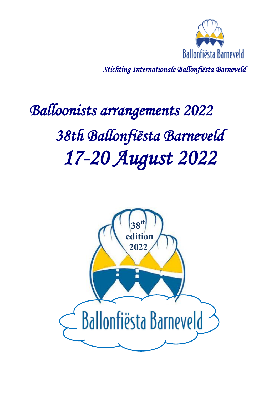

*Stichting Internationale Ballonfiësta Barneveld* 

# *Balloonists arrangements 2022 38th Ballonfiësta Barneveld 17-20 August 2022*

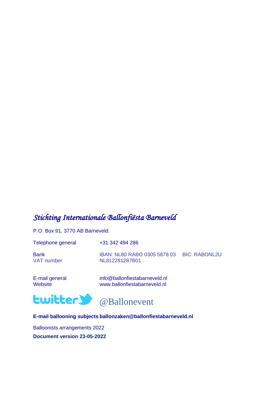### *Stichting Internationale Ballonfiësta Barneveld*

P.O. Box 91, 3770 AB Barneveld.

| Telephone general         | +31 342 494 286                                              |  |
|---------------------------|--------------------------------------------------------------|--|
| <b>Bank</b><br>VAT number | IBAN: NL80 RABO 0305 5878 03 BIC: RABONL2U<br>NL812281287B01 |  |

E-mail general info@ballonfiestabarneveld.nl<br>Website info@ballonfiestabarneveld.nl www.ballonfiestabarneveld.nl





#### **E-mail ballooning subjects ballonzaken@ballonfiestabarneveld.nl**

Balloonists arrangements 2022 **Document version 23-05-2022**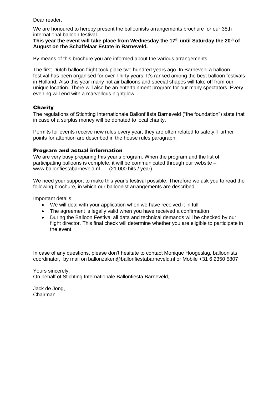Dear reader,

We are honoured to hereby present the balloonists arrangements brochure for our 38th international balloon festival.

#### **This year the event will take place from Wednesday the 17th until Saturday the 20 th of August on the Schaffelaar Estate in Barneveld.**

By means of this brochure you are informed about the various arrangements.

The first Dutch balloon flight took place two hundred years ago. In Barneveld a balloon festival has been organised for over Thirty years. It's ranked among the best balloon festivals in Holland. Also this year many hot air balloons and special shapes will take off from our unique location. There will also be an entertainment program for our many spectators. Every evening will end with a marvellous nightglow.

#### **Charity**

The regulations of Stichting Internationale Ballonfiësta Barneveld ("the foundation") state that in case of a surplus money will be donated to local charity.

Permits for events receive new rules every year, they are often related to safety. Further points for attention are described in the house rules paragraph.

#### Program and actual information

We are very busy preparing this year's program. When the program and the list of participating balloons is complete, it will be communicated through our website – www.ballonfiestabarneveld.nl -- (21.000 hits / year)

We need your support to make this year's festival possible. Therefore we ask you to read the following brochure, in which our balloonist arrangements are described.

Important details:

- We will deal with your application when we have received it in full
- The agreement is legally valid when you have received a confirmation
- During the Balloon Festival all data and technical demands will be checked by our flight director. This final check will determine whether you are eligible to participate in the event.

In case of any questions, please don't hesitate to contact Monique Hoogeslag, balloonists coordinator, by mail on ballonzaken@ballonfiestabarneveld.nl or Mobile +31 6 2350 5807

Yours sincerely, On behalf of Stichting Internationale Ballonfiësta Barneveld,

Jack de Jong, Chairman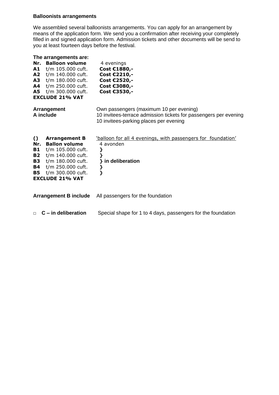#### **Balloonists arrangements**

We assembled several balloonists arrangements. You can apply for an arrangement by means of the application form. We send you a confirmation after receiving your completely filled in and signed application form. Admission tickets and other documents will be send to you at least fourteen days before the festival.

| The arrangements are:<br><b>Balloon volume</b><br>Nr.<br>A1<br>t/m 105.000 cuft.<br>A2<br>t/m 140.000 cuft.<br>A3<br>t/m 180.000 cuft.<br>t/m 250.000 cuft.<br>A4<br><b>A5</b><br>t/m 300.000 cuft.<br><b>EXCLUDE 21% VAT</b>                                       | 4 evenings<br>Cost €1880,-<br>Cost €2210,-<br>Cost €2520,-<br>Cost €3080,-<br>Cost €3530,-                                                            |
|---------------------------------------------------------------------------------------------------------------------------------------------------------------------------------------------------------------------------------------------------------------------|-------------------------------------------------------------------------------------------------------------------------------------------------------|
| Arrangement<br>A include                                                                                                                                                                                                                                            | Own passengers (maximum 10 per evening)<br>10 invitees-terrace admission tickets for passengers per evening<br>10 invitees-parking places per evening |
| $\Omega$<br><b>Arrangement B</b><br><b>Ballon volume</b><br>Nr.<br><b>B1</b><br>t/m 105.000 cuft.<br><b>B2</b><br>t/m 140.000 cuft.<br><b>B3</b><br>t/m 180.000 cuft.<br><b>B4</b><br>t/m 250.000 cuft.<br>t/m 300.000 cuft.<br><b>B5</b><br><b>EXCLUDE 21% VAT</b> | 'balloon for all 4 evenings, with passengers for foundation'<br>4 avonden<br>}<br>ł<br>} in deliberation<br>}<br>}                                    |
| <b>Arrangement B include</b>                                                                                                                                                                                                                                        | All passengers for the foundation                                                                                                                     |
| $C$ – in deliberation<br>$\Box$                                                                                                                                                                                                                                     | Special shape for 1 to 4 days, passengers for the foundation                                                                                          |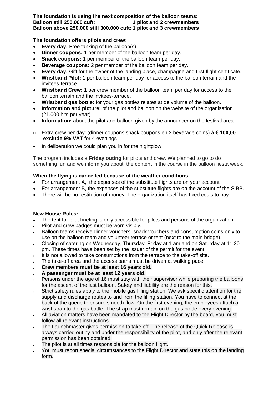#### **The foundation is using the next composition of the balloon teams: Balloon still 250.000 cuft: 1 pilot and 2 crewmembers Balloon above 250.000 still 300.000 cuft: 1 pilot and 3 crewmembers**

#### **The foundation offers pilots and crew:**

- **Every day:** Free tanking of the balloon(s)
- **Dinner coupons:** 1 per member of the balloon team per day.
- **Snack coupons:** 1 per member of the balloon team per day.
- **Beverage coupons:** 2 per member of the balloon team per day.
- **Every day:** Gift for the owner of the landing place, champagne and first flight certificate.
- **Wristband Pilot:** 1 per balloon team per day for access to the balloon terrain and the invitees-terrace.
- **Wristband Crew:** 1 per crew member of the balloon team per day for access to the balloon terrain and the invitees-terrace.
- **Wristband gas bottle:** for your gas bottles relates at de volume of the balloon.
- **Information and picture:** of the pilot and balloon on the website of the organisation (21.000 hits per year)
- **Information:** about the pilot and balloon given by the announcer on the festival area.
- □ Extra crew per day: (dinner coupons snack coupons en 2 beverage coins) à **€ 100,00 exclude 9% VAT** for 4 evenings
- In deliberation we could plan you in for the nightglow.

The program includes a **Friday outing** for pilots and crew. We planned to go to do something fun and we inform you about the content in the course in the balloon fiesta week.

#### **When the flying is cancelled because of the weather conditions:**

- For arrangement A, the expenses of the substitute flights are on your account
- For arrangement B, the expenses of the substitute flights are on the account of the SIBB.
- There will be no restitution of money. The organization itself has fixed costs to pay.

#### **New House Rules:**

- The tent for pilot briefing is only accessible for pilots and persons of the organization
- Pilot and crew badges must be worn visibly.
- Balloon teams receive dinner vouchers, snack vouchers and consumption coins only to use on the balloon team and volunteer terrace or tent (next to the main bridge).
- Closing of catering on Wednesday, Thursday, Friday at 1 am and on Saturday at 11.30 pm. These times have been set by the issuer of the permit for the event.
- It is not allowed to take consumptions from the terrace to the take-off site.
- The take-off area and the access paths must be driven at walking pace.
- **Crew members must be at least 16 years old.**
- **A passenger must be at least 12 years old.**
- Persons under the age of 16 must stay with their supervisor while preparing the balloons for the ascent of the last balloon. Safety and liability are the reason for this.
- Strict safety rules apply to the mobile gas filling station. We ask specific attention for the supply and discharge routes to and from the filling station. You have to connect at the back of the queue to ensure smooth flow. On the first evening, the employees attach a wrist strap to the gas bottle. The strap must remain on the gas bottle every evening.
- All aviation matters have been mandated to the Flight Director by the board, you must follow all relevant instructions.
- The Launchmaster gives permission to take off. The release of the Quick Release is always carried out by and under the responsibility of the pilot, and only after the relevant permission has been obtained.
- The pilot is at all times responsible for the balloon flight.
- You must report special circumstances to the Flight Director and state this on the landing form.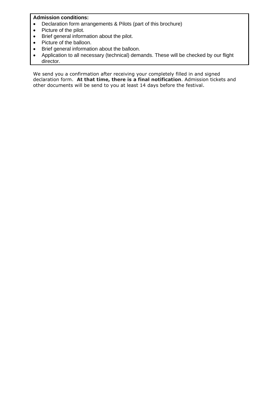#### **Admission conditions:**

- Declaration form arrangements & Pilots (part of this brochure)
- Picture of the pilot.
- Brief general information about the pilot.
- Picture of the balloon.
- Brief general information about the balloon.
- Application to all necessary (technical) demands. These will be checked by our flight director.

We send you a confirmation after receiving your completely filled in and signed declaration form. **At that time, there is a final notification**. Admission tickets and other documents will be send to you at least 14 days before the festival.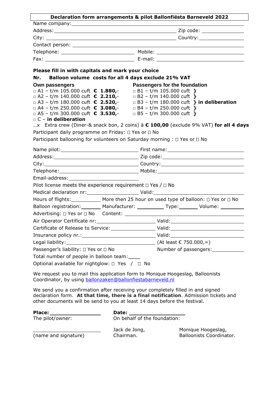|                                                                                                    | Declaration form arrangements & pilot Ballonfiësta Barneveld 2022                    |  |
|----------------------------------------------------------------------------------------------------|--------------------------------------------------------------------------------------|--|
|                                                                                                    |                                                                                      |  |
|                                                                                                    |                                                                                      |  |
|                                                                                                    |                                                                                      |  |
|                                                                                                    |                                                                                      |  |
|                                                                                                    |                                                                                      |  |
|                                                                                                    |                                                                                      |  |
| Please fill in with capitals and mark your choice                                                  |                                                                                      |  |
| Nr. L                                                                                              | Balloon volume costs for all 4 days exclude 21% VAT                                  |  |
| Own passengers                                                                                     | Passengers for the foundation                                                        |  |
| □ A1 - t/m 105.000 cuft € 1.880,-                                                                  | $\Box$ B1 – t/m 105.000 cuft }                                                       |  |
| $\Box$ A2 – t/m 140.000 cuft $\epsilon$ 2.210,-                                                    | $\Box$ B2 - t/m 140.000 cuft }                                                       |  |
| $\Box$ A3 – t/m 180.000 cuft $\epsilon$ 2.520,-<br>$\Box$ A4 - t/m 250.000 cuft $\epsilon$ 3.080,- | $\Box$ B3 - t/m 180.000 cuft } in deliberation<br>$\Box$ B4 – t/m 250.000 cuft }     |  |
| $\Box$ A5 – t/m 300.000 cuft $\epsilon$ 3.530,-                                                    | $\Box$ B5 - t/m 300.000 cuft }                                                       |  |
| $\Box$ C – in deliberation                                                                         |                                                                                      |  |
|                                                                                                    | x Extra crew (Diner-& snack bon, 2 coins) à € 100,00 (exclude 9% VAT) for all 4 days |  |
| Participant daily programme on Friday: □ Yes or □ No                                               |                                                                                      |  |
|                                                                                                    | Participant ballooning for volunteers on Saturday morning : □ Yes or □ No            |  |
|                                                                                                    |                                                                                      |  |
|                                                                                                    |                                                                                      |  |
|                                                                                                    |                                                                                      |  |
|                                                                                                    |                                                                                      |  |
|                                                                                                    |                                                                                      |  |
| Pilot license meets the experience requirement $\Box$ Yes / $\Box$ No                              |                                                                                      |  |
|                                                                                                    |                                                                                      |  |
|                                                                                                    | Hours of flights: More then 25 hour on used type of balloon: □ Yes or □ No           |  |
|                                                                                                    | Balloon registration: Manufacturer: Type: Volume: 1990.                              |  |
|                                                                                                    |                                                                                      |  |
| Air Operator Certificate nr: Valid:                                                                |                                                                                      |  |
|                                                                                                    |                                                                                      |  |
|                                                                                                    |                                                                                      |  |
|                                                                                                    |                                                                                      |  |
|                                                                                                    |                                                                                      |  |
|                                                                                                    | Legal liability: $\qquad \qquad$ (At least $\epsilon$ 750.000,=)                     |  |
| Passenger's liability: □ Yes or □ No<br>Total number of people in balloon team:                    | Number of passengers: ____________                                                   |  |

We request you to mail this application form to Monique Hoogeslag, Balloonists Coordinator, by using [ballonzaken@ballonfiestabarneveld.nl](mailto:ballonzaken@ballonfiestabarneveld.nl)

We send you a confirmation after receiving your completely filled in and signed declaration form. **At that time, there is a final notification**. Admission tickets and other documents will be send to you at least 14 days before the festival.

| <b>Place:</b>        | Date:                        |                                                       |
|----------------------|------------------------------|-------------------------------------------------------|
| The pilot/owner:     | On behalf of the foundation: |                                                       |
| (name and signature) | Jack de Jong,<br>Chairman.   | Monique Hoogeslag,<br><b>Balloonists Coordinator.</b> |
|                      |                              |                                                       |